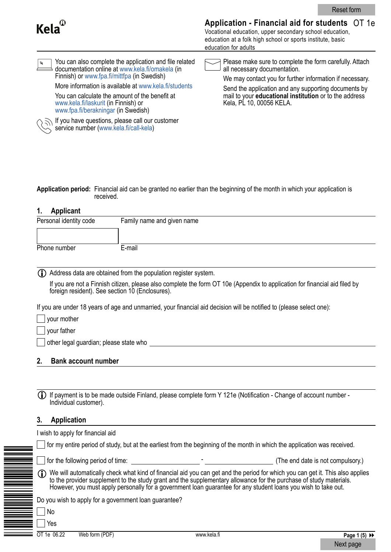| Kela <sup>®</sup>                                                                                                                                                                                                                                                                                                                                                  | Application - Financial aid for students OT 1e<br>Vocational education, upper secondary school education,<br>education at a folk high school or sports institute, basic<br>education for adults                                                                                                          |  |  |
|--------------------------------------------------------------------------------------------------------------------------------------------------------------------------------------------------------------------------------------------------------------------------------------------------------------------------------------------------------------------|----------------------------------------------------------------------------------------------------------------------------------------------------------------------------------------------------------------------------------------------------------------------------------------------------------|--|--|
| You can also complete the application and file related<br>$\mathbf{z}$<br>documentation online at www.kela.fi/omakela (in<br>Finnish) or www.fpa.fi/mittfpa (in Swedish)<br>More information is available at www.kela.fi/students<br>You can calculate the amount of the benefit at<br>www.kela.fi/laskurit (in Finnish) or<br>www.fpa.fi/berakningar (in Swedish) | Please make sure to complete the form carefully. Attach<br>all necessary documentation.<br>We may contact you for further information if necessary.<br>Send the application and any supporting documents by<br>mail to your <b>educational institution</b> or to the address<br>Kela, PL 10, 00056 KELA. |  |  |

**Application period:** Financial aid can be granted no earlier than the beginning of the month in which your application is received.

# **1. Applicant**

| Personal identity code | Family name and given name |
|------------------------|----------------------------|
|                        |                            |
| Phone number           | E-mail                     |

i Address data are obtained from the population register system.

If you have questions, please call our customer

service number [\(www.kela.fi/call-kela\)](https://www.kela.fi/call-kela)

If you are not a Finnish citizen, please also complete the form OT 10e (Appendix to application for financial aid filed by foreign resident). See section 10 (Enclosures).

If you are under 18 years of age and unmarried, your financial aid decision will be notified to (please select one):

your mother

**Vour father** 

other legal guardian; please state who **example all entity of the state whole** 

#### **2. Bank account number**

|  | (i) If payment is to be made outside Finland, please complete form Y 121e (Notification - Change of account number -<br>Individual customer). |
|--|-----------------------------------------------------------------------------------------------------------------------------------------------|
|--|-----------------------------------------------------------------------------------------------------------------------------------------------|

## **3. Application**

|             | wish to apply for financial aid                       |             |                                                                                                                                                                                                                                                                                                                                                                       |  |
|-------------|-------------------------------------------------------|-------------|-----------------------------------------------------------------------------------------------------------------------------------------------------------------------------------------------------------------------------------------------------------------------------------------------------------------------------------------------------------------------|--|
|             |                                                       |             | for my entire period of study, but at the earliest from the beginning of the month in which the application was received.                                                                                                                                                                                                                                             |  |
|             | for the following period of time:                     |             | (The end date is not compulsory.)                                                                                                                                                                                                                                                                                                                                     |  |
| Œ           |                                                       |             | We will automatically check what kind of financial aid you can get and the period for which you can get it. This also applies<br>to the provider supplement to the study grant and the supplementary allowance for the purchase of study materials.<br>However, you must apply personally for a government loan guarantee for any student loans you wish to take out. |  |
|             | Do you wish to apply for a government loan guarantee? |             |                                                                                                                                                                                                                                                                                                                                                                       |  |
| No          |                                                       |             |                                                                                                                                                                                                                                                                                                                                                                       |  |
| Yes         |                                                       |             |                                                                                                                                                                                                                                                                                                                                                                       |  |
| OT 1e 06.22 | Web form (PDF)                                        | www kela fi | $P$ ane 1 $(5)$ <b>bb</b>                                                                                                                                                                                                                                                                                                                                             |  |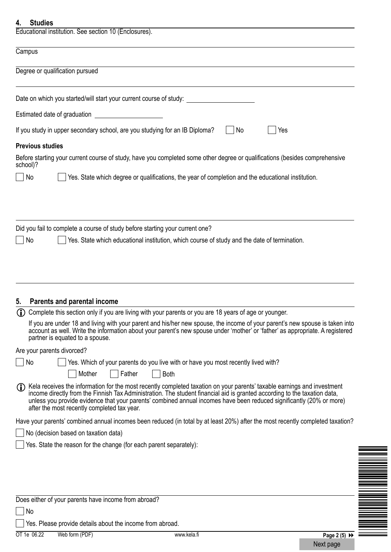| <b>Studies</b><br>4.                                                                                                                                                                                                                                                                                                                                                                                                                                                  |  |
|-----------------------------------------------------------------------------------------------------------------------------------------------------------------------------------------------------------------------------------------------------------------------------------------------------------------------------------------------------------------------------------------------------------------------------------------------------------------------|--|
| Educational institution. See section 10 (Enclosures).                                                                                                                                                                                                                                                                                                                                                                                                                 |  |
| Campus                                                                                                                                                                                                                                                                                                                                                                                                                                                                |  |
| Degree or qualification pursued                                                                                                                                                                                                                                                                                                                                                                                                                                       |  |
| Date on which you started/will start your current course of study:                                                                                                                                                                                                                                                                                                                                                                                                    |  |
| Estimated date of graduation                                                                                                                                                                                                                                                                                                                                                                                                                                          |  |
| If you study in upper secondary school, are you studying for an IB Diploma?<br>No<br>Yes                                                                                                                                                                                                                                                                                                                                                                              |  |
| <b>Previous studies</b>                                                                                                                                                                                                                                                                                                                                                                                                                                               |  |
| Before starting your current course of study, have you completed some other degree or qualifications (besides comprehensive<br>school)?                                                                                                                                                                                                                                                                                                                               |  |
| Yes. State which degree or qualifications, the year of completion and the educational institution.<br>No                                                                                                                                                                                                                                                                                                                                                              |  |
| Did you fail to complete a course of study before starting your current one?                                                                                                                                                                                                                                                                                                                                                                                          |  |
| Yes. State which educational institution, which course of study and the date of termination.<br>No                                                                                                                                                                                                                                                                                                                                                                    |  |
| Parents and parental income<br>5.<br>(i) Complete this section only if you are living with your parents or you are 18 years of age or younger.                                                                                                                                                                                                                                                                                                                        |  |
| If you are under 18 and living with your parent and his/her new spouse, the income of your parent's new spouse is taken into<br>account as well. Write the information about your parent's new spouse under 'mother' or 'father' as appropriate. A registered<br>partner is equated to a spouse.                                                                                                                                                                      |  |
| Are your parents divorced?                                                                                                                                                                                                                                                                                                                                                                                                                                            |  |
| No<br>Yes. Which of your parents do you live with or have you most recently lived with?                                                                                                                                                                                                                                                                                                                                                                               |  |
| Mother<br>Father<br><b>Both</b><br>Kela receives the information for the most recently completed taxation on your parents' taxable earnings and investment<br>(i)<br>income directly from the Finnish Tax Administration. The student financial aid is granted according to the taxation data,<br>unless you provide evidence that your parents' combined annual incomes have been reduced significantly (20% or more)<br>after the most recently completed tax year. |  |
| Have your parents' combined annual incomes been reduced (in total by at least 20%) after the most recently completed taxation?                                                                                                                                                                                                                                                                                                                                        |  |
| No (decision based on taxation data)                                                                                                                                                                                                                                                                                                                                                                                                                                  |  |
| Yes. State the reason for the change (for each parent separately):                                                                                                                                                                                                                                                                                                                                                                                                    |  |
|                                                                                                                                                                                                                                                                                                                                                                                                                                                                       |  |
|                                                                                                                                                                                                                                                                                                                                                                                                                                                                       |  |
|                                                                                                                                                                                                                                                                                                                                                                                                                                                                       |  |
| Does either of your parents have income from abroad?                                                                                                                                                                                                                                                                                                                                                                                                                  |  |
| No<br>Yes. Please provide details about the income from abroad.                                                                                                                                                                                                                                                                                                                                                                                                       |  |
| OT 1e 06.22<br>Web form (PDF)<br>www kela fi<br>$P$ ane $2(5)$                                                                                                                                                                                                                                                                                                                                                                                                        |  |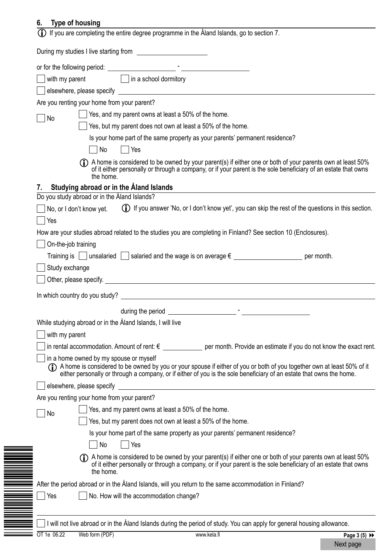# **6. Type of housing**

| 7. | with my parent $\Box$ in a school dormitory<br>Are you renting your home from your parent?<br>Yes, and my parent owns at least a 50% of the home.<br>No<br>Yes, but my parent does not own at least a 50% of the home.<br>Is your home part of the same property as your parents' permanent residence?<br>Yes<br>No<br>(f) A home is considered to be owned by your parent(s) if either one or both of your parents own at least 50%<br>of it either personally or through a company, or if your parent is the sole beneficiary of an estate that owns<br>the home.<br>Studying abroad or in the Aland Islands<br>Do you study abroad or in the Åland Islands?<br>(i) If you answer 'No, or I don't know yet', you can skip the rest of the questions in this section.<br>No, or I don't know yet.<br>Yes<br>How are your studies abroad related to the studies you are completing in Finland? See section 10 (Enclosures).<br>On-the-job training<br>Training is $\Box$ unsalaried $\Box$ salaried and the wage is on average $\epsilon \_\_\_\_\_\_\_\_$<br>Study exchange<br>In which country do you study?<br>While studying abroad or in the Åland Islands, I will live |
|----|------------------------------------------------------------------------------------------------------------------------------------------------------------------------------------------------------------------------------------------------------------------------------------------------------------------------------------------------------------------------------------------------------------------------------------------------------------------------------------------------------------------------------------------------------------------------------------------------------------------------------------------------------------------------------------------------------------------------------------------------------------------------------------------------------------------------------------------------------------------------------------------------------------------------------------------------------------------------------------------------------------------------------------------------------------------------------------------------------------------------------------------------------------------------------|
|    |                                                                                                                                                                                                                                                                                                                                                                                                                                                                                                                                                                                                                                                                                                                                                                                                                                                                                                                                                                                                                                                                                                                                                                              |
|    |                                                                                                                                                                                                                                                                                                                                                                                                                                                                                                                                                                                                                                                                                                                                                                                                                                                                                                                                                                                                                                                                                                                                                                              |
|    |                                                                                                                                                                                                                                                                                                                                                                                                                                                                                                                                                                                                                                                                                                                                                                                                                                                                                                                                                                                                                                                                                                                                                                              |
|    |                                                                                                                                                                                                                                                                                                                                                                                                                                                                                                                                                                                                                                                                                                                                                                                                                                                                                                                                                                                                                                                                                                                                                                              |
|    |                                                                                                                                                                                                                                                                                                                                                                                                                                                                                                                                                                                                                                                                                                                                                                                                                                                                                                                                                                                                                                                                                                                                                                              |
|    |                                                                                                                                                                                                                                                                                                                                                                                                                                                                                                                                                                                                                                                                                                                                                                                                                                                                                                                                                                                                                                                                                                                                                                              |
|    |                                                                                                                                                                                                                                                                                                                                                                                                                                                                                                                                                                                                                                                                                                                                                                                                                                                                                                                                                                                                                                                                                                                                                                              |
|    |                                                                                                                                                                                                                                                                                                                                                                                                                                                                                                                                                                                                                                                                                                                                                                                                                                                                                                                                                                                                                                                                                                                                                                              |
|    |                                                                                                                                                                                                                                                                                                                                                                                                                                                                                                                                                                                                                                                                                                                                                                                                                                                                                                                                                                                                                                                                                                                                                                              |
|    |                                                                                                                                                                                                                                                                                                                                                                                                                                                                                                                                                                                                                                                                                                                                                                                                                                                                                                                                                                                                                                                                                                                                                                              |
|    |                                                                                                                                                                                                                                                                                                                                                                                                                                                                                                                                                                                                                                                                                                                                                                                                                                                                                                                                                                                                                                                                                                                                                                              |
|    |                                                                                                                                                                                                                                                                                                                                                                                                                                                                                                                                                                                                                                                                                                                                                                                                                                                                                                                                                                                                                                                                                                                                                                              |
|    |                                                                                                                                                                                                                                                                                                                                                                                                                                                                                                                                                                                                                                                                                                                                                                                                                                                                                                                                                                                                                                                                                                                                                                              |
|    |                                                                                                                                                                                                                                                                                                                                                                                                                                                                                                                                                                                                                                                                                                                                                                                                                                                                                                                                                                                                                                                                                                                                                                              |
|    |                                                                                                                                                                                                                                                                                                                                                                                                                                                                                                                                                                                                                                                                                                                                                                                                                                                                                                                                                                                                                                                                                                                                                                              |
|    |                                                                                                                                                                                                                                                                                                                                                                                                                                                                                                                                                                                                                                                                                                                                                                                                                                                                                                                                                                                                                                                                                                                                                                              |
|    |                                                                                                                                                                                                                                                                                                                                                                                                                                                                                                                                                                                                                                                                                                                                                                                                                                                                                                                                                                                                                                                                                                                                                                              |
|    |                                                                                                                                                                                                                                                                                                                                                                                                                                                                                                                                                                                                                                                                                                                                                                                                                                                                                                                                                                                                                                                                                                                                                                              |
|    | with my parent                                                                                                                                                                                                                                                                                                                                                                                                                                                                                                                                                                                                                                                                                                                                                                                                                                                                                                                                                                                                                                                                                                                                                               |
|    | in rental accommodation. Amount of rent: $\epsilon$ per month. Provide an estimate if you do not know the exact rent.                                                                                                                                                                                                                                                                                                                                                                                                                                                                                                                                                                                                                                                                                                                                                                                                                                                                                                                                                                                                                                                        |
|    | in a home owned by my spouse or myself<br>(D) A home is considered to be owned by you or your spouse if either of you or both of you together own at least 50% of it either personally or through a company, or if either of you is the sole beneficiary of an estate th                                                                                                                                                                                                                                                                                                                                                                                                                                                                                                                                                                                                                                                                                                                                                                                                                                                                                                     |
|    | elsewhere, please specify                                                                                                                                                                                                                                                                                                                                                                                                                                                                                                                                                                                                                                                                                                                                                                                                                                                                                                                                                                                                                                                                                                                                                    |
|    | Are you renting your home from your parent?                                                                                                                                                                                                                                                                                                                                                                                                                                                                                                                                                                                                                                                                                                                                                                                                                                                                                                                                                                                                                                                                                                                                  |
|    | Yes, and my parent owns at least a 50% of the home.<br>No                                                                                                                                                                                                                                                                                                                                                                                                                                                                                                                                                                                                                                                                                                                                                                                                                                                                                                                                                                                                                                                                                                                    |
|    | Yes, but my parent does not own at least a 50% of the home.                                                                                                                                                                                                                                                                                                                                                                                                                                                                                                                                                                                                                                                                                                                                                                                                                                                                                                                                                                                                                                                                                                                  |
|    | Is your home part of the same property as your parents' permanent residence?                                                                                                                                                                                                                                                                                                                                                                                                                                                                                                                                                                                                                                                                                                                                                                                                                                                                                                                                                                                                                                                                                                 |
|    | Yes<br>No                                                                                                                                                                                                                                                                                                                                                                                                                                                                                                                                                                                                                                                                                                                                                                                                                                                                                                                                                                                                                                                                                                                                                                    |
|    | (f) A home is considered to be owned by your parent(s) if either one or both of your parents own at least 50%<br>of it either personally or through a company, or if your parent is the sole beneficiary of an estate that owns<br>the home.                                                                                                                                                                                                                                                                                                                                                                                                                                                                                                                                                                                                                                                                                                                                                                                                                                                                                                                                 |
|    | After the period abroad or in the Åland Islands, will you return to the same accommodation in Finland?                                                                                                                                                                                                                                                                                                                                                                                                                                                                                                                                                                                                                                                                                                                                                                                                                                                                                                                                                                                                                                                                       |
|    | Yes<br>No. How will the accommodation change?                                                                                                                                                                                                                                                                                                                                                                                                                                                                                                                                                                                                                                                                                                                                                                                                                                                                                                                                                                                                                                                                                                                                |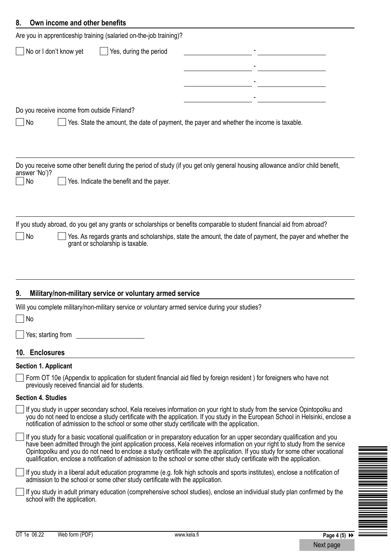# **8. Own income and other benefits**

|                     | Are you in apprenticeship training (salaried on-the-job training)?                                                                                          |                                                                                                                                                                                                                                                                                                                                                                                                                                                                                                                    |
|---------------------|-------------------------------------------------------------------------------------------------------------------------------------------------------------|--------------------------------------------------------------------------------------------------------------------------------------------------------------------------------------------------------------------------------------------------------------------------------------------------------------------------------------------------------------------------------------------------------------------------------------------------------------------------------------------------------------------|
|                     | No or I don't know yet<br>Yes, during the period                                                                                                            |                                                                                                                                                                                                                                                                                                                                                                                                                                                                                                                    |
|                     |                                                                                                                                                             |                                                                                                                                                                                                                                                                                                                                                                                                                                                                                                                    |
|                     |                                                                                                                                                             |                                                                                                                                                                                                                                                                                                                                                                                                                                                                                                                    |
|                     |                                                                                                                                                             |                                                                                                                                                                                                                                                                                                                                                                                                                                                                                                                    |
| No                  | Do you receive income from outside Finland?                                                                                                                 | Yes. State the amount, the date of payment, the payer and whether the income is taxable.                                                                                                                                                                                                                                                                                                                                                                                                                           |
| answer 'No')?<br>No | Yes. Indicate the benefit and the payer.                                                                                                                    | Do you receive some other benefit during the period of study (if you get only general housing allowance and/or child benefit,                                                                                                                                                                                                                                                                                                                                                                                      |
| No                  | grant or scholarship is taxable.                                                                                                                            | If you study abroad, do you get any grants or scholarships or benefits comparable to student financial aid from abroad?<br>Yes. As regards grants and scholarships, state the amount, the date of payment, the payer and whether the                                                                                                                                                                                                                                                                               |
| 9.<br>$\Box$ No     | Military/non-military service or voluntary armed service<br>Will you complete military/non-military service or voluntary armed service during your studies? |                                                                                                                                                                                                                                                                                                                                                                                                                                                                                                                    |
|                     |                                                                                                                                                             |                                                                                                                                                                                                                                                                                                                                                                                                                                                                                                                    |
|                     | Yes; starting from The State of The State of The State of The State of The State of The Theorem                                                             |                                                                                                                                                                                                                                                                                                                                                                                                                                                                                                                    |
|                     | 10. Enclosures                                                                                                                                              |                                                                                                                                                                                                                                                                                                                                                                                                                                                                                                                    |
|                     | <b>Section 1. Applicant</b>                                                                                                                                 | Form OT 10e (Appendix to application for student financial aid filed by foreign resident) for foreigners who have not                                                                                                                                                                                                                                                                                                                                                                                              |
|                     | previously received financial aid for students.                                                                                                             |                                                                                                                                                                                                                                                                                                                                                                                                                                                                                                                    |
|                     | <b>Section 4. Studies</b>                                                                                                                                   |                                                                                                                                                                                                                                                                                                                                                                                                                                                                                                                    |
|                     | notification of admission to the school or some other study certificate with the application.                                                               | If you study in upper secondary school, Kela receives information on your right to study from the service Opintopolku and<br>you do not need to enclose a study certificate with the application. If you study in the European School in Helsinki, enclose a                                                                                                                                                                                                                                                       |
|                     |                                                                                                                                                             | If you study for a basic vocational qualification or in preparatory education for an upper secondary qualification and you<br>have been admitted through the joint application process, Kela receives information on your right to study from the service<br>Opintopolku and you do not need to enclose a study certificate with the application. If you study for some other vocational<br>qualification, enclose a notification of admission to the school or some other study certificate with the application. |
|                     | admission to the school or some other study certificate with the application.                                                                               | If you study in a liberal adult education programme (e.g. folk high schools and sports institutes), enclose a notification of                                                                                                                                                                                                                                                                                                                                                                                      |
|                     | school with the application.                                                                                                                                | If you study in adult primary education (comprehensive school studies), enclose an individual study plan confirmed by the                                                                                                                                                                                                                                                                                                                                                                                          |